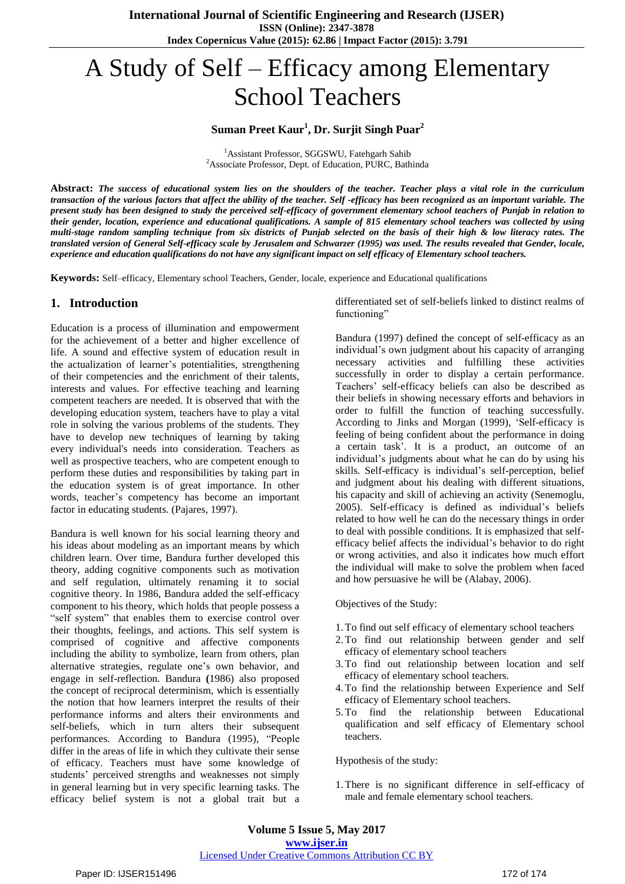# A Study of Self – Efficacy among Elementary School Teachers

# **Suman Preet Kaur<sup>1</sup> , Dr. Surjit Singh Puar<sup>2</sup>**

<sup>1</sup>Assistant Professor, SGGSWU, Fatehgarh Sahib <sup>2</sup>Associate Professor, Dept. of Education, PURC, Bathinda

Abstract: The success of educational system lies on the shoulders of the teacher. Teacher plays a vital role in the curriculum transaction of the various factors that affect the ability of the teacher. Self-efficacy has been recognized as an important variable. The present study has been designed to study the perceived self-efficacy of government elementary school teachers of Punjab in relation to their gender, location, experience and educational qualifications. A sample of 815 elementary school teachers was collected by using multi-stage random sampling technique from six districts of Punjab selected on the basis of their high & low literacy rates. The translated version of General Self-efficacy scale by Jerusalem and Schwarzer (1995) was used. The results revealed that Gender, locale, experience and education qualifications do not have any significant impact on self efficacy of Elementary school teachers.

**Keywords:** Self–efficacy, Elementary school Teachers, Gender, locale, experience and Educational qualifications

# **1. Introduction**

Education is a process of illumination and empowerment for the achievement of a better and higher excellence of life. A sound and effective system of education result in the actualization of learner"s potentialities, strengthening of their competencies and the enrichment of their talents, interests and values. For effective teaching and learning competent teachers are needed. It is observed that with the developing education system, teachers have to play a vital role in solving the various problems of the students. They have to develop new techniques of learning by taking every individual's needs into consideration. Teachers as well as prospective teachers, who are competent enough to perform these duties and responsibilities by taking part in the education system is of great importance. In other words, teacher"s competency has become an important factor in educating students. (Pajares, 1997).

Bandura is well known for his social learning theory and his ideas about modeling as an important means by which children learn. Over time, Bandura further developed this theory, adding cognitive components such as motivation and self regulation, ultimately renaming it to social cognitive theory. In 1986, Bandura added the self-efficacy component to his theory, which holds that people possess a "self system" that enables them to exercise control over their thoughts, feelings, and actions. This self system is comprised of cognitive and affective components including the ability to symbolize, learn from others, plan alternative strategies, regulate one's own behavior, and engage in self-reflection. Bandura **(**1986) also proposed the concept of reciprocal determinism, which is essentially the notion that how learners interpret the results of their performance informs and alters their environments and self-beliefs, which in turn alters their subsequent performances. According to Bandura (1995), "People differ in the areas of life in which they cultivate their sense of efficacy. Teachers must have some knowledge of students" perceived strengths and weaknesses not simply in general learning but in very specific learning tasks. The efficacy belief system is not a global trait but a differentiated set of self-beliefs linked to distinct realms of functioning"

Bandura (1997) defined the concept of self-efficacy as an individual"s own judgment about his capacity of arranging necessary activities and fulfilling these activities successfully in order to display a certain performance. Teachers" self-efficacy beliefs can also be described as their beliefs in showing necessary efforts and behaviors in order to fulfill the function of teaching successfully. According to Jinks and Morgan (1999), "Self-efficacy is feeling of being confident about the performance in doing a certain task". It is a product, an outcome of an individual"s judgments about what he can do by using his skills. Self-efficacy is individual's self-perception, belief and judgment about his dealing with different situations, his capacity and skill of achieving an activity (Senemoglu, 2005). Self-efficacy is defined as individual's beliefs related to how well he can do the necessary things in order to deal with possible conditions. It is emphasized that selfefficacy belief affects the individual"s behavior to do right or wrong activities, and also it indicates how much effort the individual will make to solve the problem when faced and how persuasive he will be (Alabay, 2006).

Objectives of the Study:

- 1.To find out self efficacy of elementary school teachers
- 2.To find out relationship between gender and self efficacy of elementary school teachers
- 3.To find out relationship between location and self efficacy of elementary school teachers.
- 4.To find the relationship between Experience and Self efficacy of Elementary school teachers.
- 5.To find the relationship between Educational qualification and self efficacy of Elementary school teachers.

Hypothesis of the study:

1.There is no significant difference in self-efficacy of male and female elementary school teachers.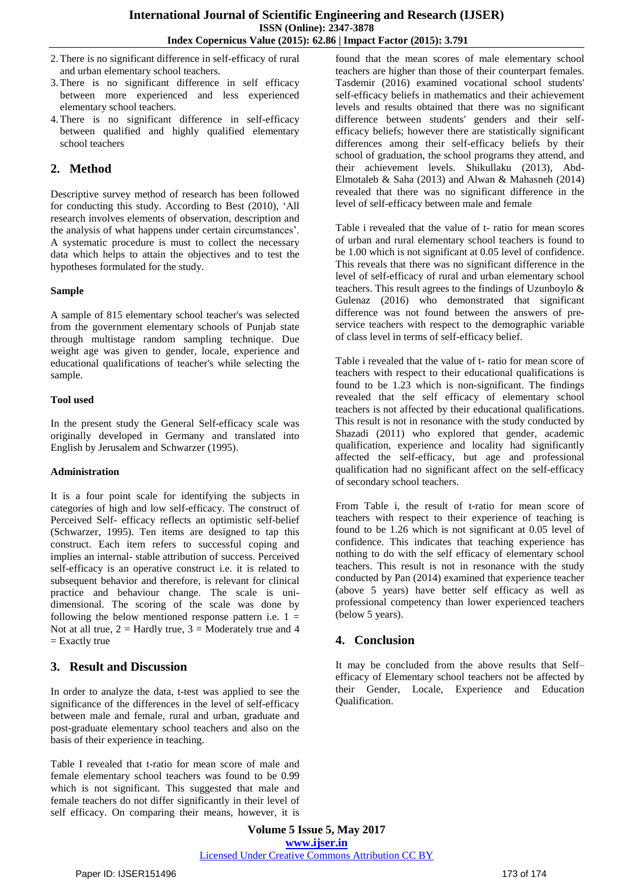- 2.There is no significant difference in self-efficacy of rural and urban elementary school teachers.
- 3.There is no significant difference in self efficacy between more experienced and less experienced elementary school teachers.
- 4.There is no significant difference in self-efficacy between qualified and highly qualified elementary school teachers

# **2. Method**

Descriptive survey method of research has been followed for conducting this study. According to Best (2010), "All research involves elements of observation, description and the analysis of what happens under certain circumstances". A systematic procedure is must to collect the necessary data which helps to attain the objectives and to test the hypotheses formulated for the study.

## **Sample**

A sample of 815 elementary school teacher's was selected from the government elementary schools of Punjab state through multistage random sampling technique. Due weight age was given to gender, locale, experience and educational qualifications of teacher's while selecting the sample.

#### **Tool used**

In the present study the General Self-efficacy scale was originally developed in Germany and translated into English by Jerusalem and Schwarzer (1995).

#### **Administration**

It is a four point scale for identifying the subjects in categories of high and low self-efficacy. The construct of Perceived Self- efficacy reflects an optimistic self-belief (Schwarzer, 1995). Ten items are designed to tap this construct. Each item refers to successful coping and implies an internal- stable attribution of success. Perceived self-efficacy is an operative construct i.e. it is related to subsequent behavior and therefore, is relevant for clinical practice and behaviour change. The scale is unidimensional. The scoring of the scale was done by following the below mentioned response pattern i.e.  $1 =$ Not at all true,  $2 =$  Hardly true,  $3 =$  Moderately true and 4  $=$  Exactly true

# **3. Result and Discussion**

In order to analyze the data, t-test was applied to see the significance of the differences in the level of self-efficacy between male and female, rural and urban, graduate and post-graduate elementary school teachers and also on the basis of their experience in teaching.

Table I revealed that t-ratio for mean score of male and female elementary school teachers was found to be 0.99 which is not significant. This suggested that male and female teachers do not differ significantly in their level of self efficacy. On comparing their means, however, it is found that the mean scores of male elementary school teachers are higher than those of their counterpart females. Tasdemir (2016) examined vocational school students' self-efficacy beliefs in mathematics and their achievement levels and results obtained that there was no significant difference between students' genders and their selfefficacy beliefs; however there are statistically significant differences among their self-efficacy beliefs by their school of graduation, the school programs they attend, and their achievement levels. Shikullaku (2013), Abd-Elmotaleb & Saha (2013) and Alwan & Mahasneh (2014) revealed that there was no significant difference in the level of self-efficacy between male and female

Table i revealed that the value of t- ratio for mean scores of urban and rural elementary school teachers is found to be 1.00 which is not significant at 0.05 level of confidence. This reveals that there was no significant difference in the level of self-efficacy of rural and urban elementary school teachers. This result agrees to the findings of Uzunboylo & Gulenaz (2016) who demonstrated that significant difference was not found between the answers of preservice teachers with respect to the demographic variable of class level in terms of self-efficacy belief.

Table i revealed that the value of t- ratio for mean score of teachers with respect to their educational qualifications is found to be 1.23 which is non-significant. The findings revealed that the self efficacy of elementary school teachers is not affected by their educational qualifications. This result is not in resonance with the study conducted by Shazadi (2011) who explored that gender, academic qualification, experience and locality had significantly affected the self-efficacy, but age and professional qualification had no significant affect on the self-efficacy of secondary school teachers.

From Table i, the result of t-ratio for mean score of teachers with respect to their experience of teaching is found to be 1.26 which is not significant at 0.05 level of confidence. This indicates that teaching experience has nothing to do with the self efficacy of elementary school teachers. This result is not in resonance with the study conducted by Pan (2014) examined that experience teacher (above 5 years) have better self efficacy as well as professional competency than lower experienced teachers (below 5 years).

# **4. Conclusion**

It may be concluded from the above results that Self– efficacy of Elementary school teachers not be affected by their Gender, Locale, Experience and Education Qualification.

**Volume 5 Issue 5, May 2017 www.ijser.in** Licensed Under Creative Commons Attribution CC BY